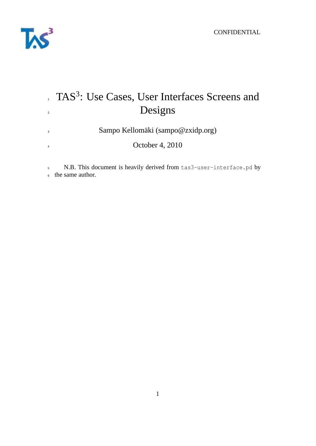

# TAS<sup>3</sup>: Use Cases, User Interfaces Screens and <sup>2</sup> Designs

<sup>3</sup> Sampo Kellomäki (sampo@zxidp.org)

<sup>4</sup> October 4, 2010

<sup>5</sup> N.B. This document is heavily derived from tas3-user-interface.pd by <sup>6</sup> the same author.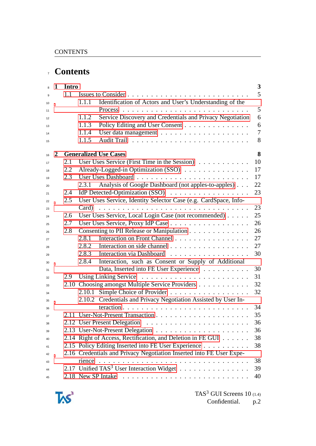# **Contents**

| $\overline{8}$ | $\mathbf{1}$ | Intro |        |                                                                      | $\mathbf{3}$   |
|----------------|--------------|-------|--------|----------------------------------------------------------------------|----------------|
| 9              |              | 1.1   |        |                                                                      | 5              |
| 10             |              |       | 1.1.1  | Identification of Actors and User's Understanding of the             |                |
| 11             |              |       |        | Process                                                              | 5              |
| 12             |              |       | 1.1.2  | Service Discovery and Credentials and Privacy Negotiation            | 6              |
| 13             |              |       | 1.1.3  | Policy Editing and User Consent                                      | 6              |
| 14             |              |       | 1.1.4  |                                                                      | $\overline{7}$ |
| 15             |              |       | 1.1.5  |                                                                      | 8              |
| 16             | 2            |       |        | <b>Generalized Use Cases</b>                                         | 8              |
| 17             |              | 2.1   |        | User Uses Service (First Time in the Session)                        | 10             |
| 18             |              | 2.2   |        | Already-Logged-in Optimization (SSO)                                 | 17             |
| 19             |              | 2.3   |        |                                                                      | 17             |
| 20             |              |       | 2.3.1  | Analysis of Google Dashboard (not apples-to-apples)                  | 22             |
| 21             |              | 2.4   |        | IdP Detected-Optimization (SSO)                                      | 23             |
| 22             |              | 2.5   |        | User Uses Service, Identity Selector Case (e.g. CardSpace, Info-     |                |
| 23             |              |       | Card)  |                                                                      | 23             |
| 24             |              | 2.6   |        | User Uses Service, Local Login Case (not recommended)                | 25             |
| 25             |              | 2.7   |        | User Uses Service, Proxy IdP Case                                    | 26             |
| 26             |              | 2.8   |        | Consenting to PII Release or Manipulation                            | 26             |
| 27             |              |       | 2.8.1  | Interaction on Front Channel                                         | 27             |
| 28             |              |       | 2.8.2  | Interaction on side channel                                          | 27             |
| 29             |              |       | 2.8.3  | Interaction via Dashboard                                            | 30             |
| 30             |              |       | 2.8.4  | Interaction, such as Consent or Supply of Additional                 |                |
| 31             |              |       |        | Data, Inserted into FE User Experience                               | 30             |
| 32             |              | 2.9   |        |                                                                      | 31             |
| 33             |              |       |        | 2.10 Choosing amongst Multiple Service Providers                     | 32             |
| 34             |              |       | 2.10.1 | Simple Choice of Provider                                            | 32             |
| 35             |              |       |        | 2.10.2 Credentials and Privacy Negotiation Assisted by User In-      |                |
| 36             |              |       |        |                                                                      | 34             |
| 37             |              |       |        |                                                                      | 35             |
| 38             |              |       |        | 2.12 User Present Delegation                                         | 36             |
| 39             |              |       |        |                                                                      | 36             |
| 40             |              |       |        | 2.14 Right of Access, Rectification, and Deletion in FE GUI          | 38             |
| 41             |              |       |        | 2.15 Policy Editing Inserted into FE User Experience                 | 38             |
| 42             |              |       |        | 2.16 Credentials and Privacy Negotiation Inserted into FE User Expe- |                |
| 43             |              |       | rience |                                                                      | 38             |
| 44             |              |       |        | 2.17 Unified TAS <sup>3</sup> User Interaction Widget                | 39             |
| 45             |              |       |        | 2.18 New SP Intake                                                   | 40             |
|                |              |       |        |                                                                      |                |

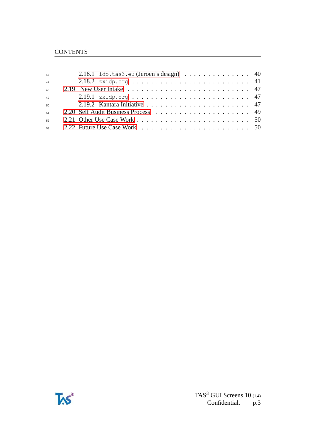| 46              | 2.18.1 idp.tas3.eu (Jeroen's design) $\ldots \ldots \ldots \ldots$ 40 |
|-----------------|-----------------------------------------------------------------------|
| 47              |                                                                       |
| $\overline{48}$ |                                                                       |
| 49              |                                                                       |
| 50              |                                                                       |
| 51              |                                                                       |
| 52              |                                                                       |
| 53              |                                                                       |

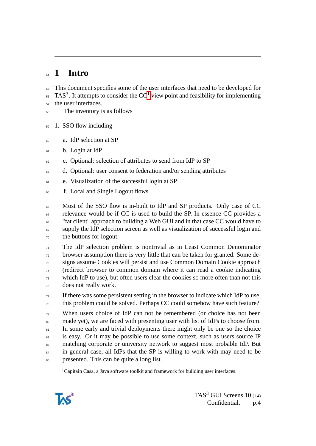# <span id="page-3-0"></span>**1 Intro**

This document specifies some of the user interfaces that need to be developed for

- TAS<sup>3</sup>. It attempts to consider the CC<sup>[1](#page-3-1)</sup> view point and feasibility for implementing
- <sub>57</sub> the user interfaces.
- The inventory is as follows
- 1. SSO flow including
- a. IdP selection at SP
- b. Login at IdP
- c. Optional: selection of attributes to send from IdP to SP
- d. Optional: user consent to federation and/or sending attributes
- <sup>64</sup> e. Visualization of the successful login at SP
- <sup>65</sup> f. Local and Single Logout flows
- Most of the SSO flow is in-built to IdP and SP products. Only case of CC <sup>67</sup> relevance would be if CC is used to build the SP. In essence CC provides a "fat client" approach to building a Web GUI and in that case CC would have to supply the IdP selection screen as well as visualization of successful login and the buttons for logout.
- The IdP selection problem is nontrivial as in Least Common Denominator browser assumption there is very little that can be taken for granted. Some de- signs assume Cookies will persist and use Common Domain Cookie approach (redirect browser to common domain where it can read a cookie indicating which IdP to use), but often users clear the cookies so more often than not this does not really work.
- If there was some persistent setting in the browser to indicate which IdP to use,  $\tau_8$  this problem could be solved. Perhaps CC could somehow have such feature?
- $T<sub>79</sub>$  When users choice of IdP can not be remembered (or choice has not been made yet), we are faced with presenting user with list of IdPs to choose from. 81 In some early and trivial deployments there might only be one so the choice <sup>82</sup> is easy. Or it may be possible to use some context, such as users source IP matching corporate or university network to suggest most probable IdP. But <sup>84</sup> in general case, all IdPs that the SP is willing to work with may need to be <sup>85</sup> presented. This can be quite a long list.

<span id="page-3-1"></span><sup>&</sup>lt;sup>1</sup>Capitain Casa, a Java software toolkit and framework for building user interfaces.

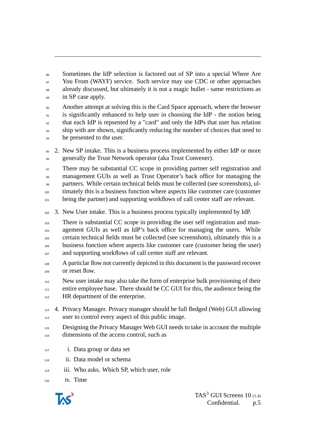Sometimes the IdP selection is factored out of SP into a special Where Are <sup>87</sup> You From (WAYF) service. Such service may use CDC or other approaches already discussed, but ultimately it is not a magic bullet - same restrictions as 89 in SP case apply.

 Another attempt at solving this is the Card Space approach, where the browser 91 is significantly enhanced to help user in choosing the IdP - the notion being that each IdP is repsented by a "card" and only the IdPs that user has relation ship with are shown, significantly reducing the number of choices that need to <sup>94</sup> be presented to the user.

 2. New SP intake. This is a business process implemented by either IdP or more generally the Trust Network operator (aka Trust Convener).

<sup>97</sup> There may be substantial CC scope in providing partner self registration and management GUIs as well as Trust Operator's back office for managing the partners. While certain technical fields must be collected (see screenshots), ul-timately this is a business function where aspects like customer care (customer

101 being the partner) and supporting workflows of call center staff are relevant.

3. New User intake. This is a business process typically implemented by IdP.

 There is substantial CC scope in providing the user self registration and man- agement GUIs as well as IdP's back office for managing the users. While certain technical fields must be collected (see screenshots), ultimately this is a business function where aspects like customer care (customer being the user) and supporting workflows of call center staff are relevant.

 A particlar flow not currently depicted in this document is the password recover or reset flow.

 New user intake may also take the form of enterprise bulk provisioning of their entire employee base. There should be CC GUI for this, the audience being the <sup>112</sup> HR department of the enterprise.

- 4. Privacy Manager. Privacy manager should be full fledged (Web) GUI allowing user to control every aspect of this public image.
- Designing the Privacy Manager Web GUI needs to take in account the multiple dimensions of the access control, such as
- i. Data group or data set
- ii. Data model or schema
- iii. Who asks. Which SP, which user, role
- iv. Time

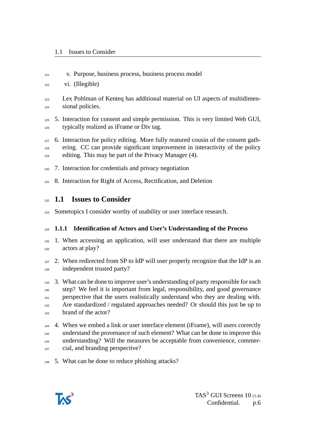v. Purpose, business process, business process model

vi. (Illegible)

- Lex Pohlman of Kenteq has additional material on UI aspects of multidimen-sional policies.
- 5. Interaction for consent and simple permission. This is very limited Web GUI, typically realized as iFrame or Div tag.
- 6. Interaction for policy editing. More fully reatured cousin of the consent gath- ering. CC can provide significant improvement in interactivity of the policy <sup>129</sup> editing. This may be part of the Privacy Manager (4).
- 7. Interaction for credentials and privacy negotiation
- 8. Interaction for Right of Access, Rectification, and Deletion

### <span id="page-5-0"></span>**1.1 Issues to Consider**

133 Sometopics I consider worthy of usability or user interface research.

#### <span id="page-5-1"></span>**1.1.1 Identification of Actors and User's Understanding of the Process**

- 1. When accessing an application, will user understand that there are multiple actors at play?
- 137 2. When redirected from SP to IdP will user properly recognize that the IdP is an independent trusted party?
- 3. What can be done to improve user's understanding of party responsible for each step? We feel it is important from legal, responsibility, and good governance 141 perspective that the users realistically understand who they are dealing with. Are standardized / regulated approaches needed? Or should this just be up to brand of the actor?
- 4. When we embed a link or user interface element (iFrame), will users correctly understand the provenance of such element? What can be done to improve this 146 understanding? Will the measures be acceptable from convenience, commer-<sup>147</sup> cial, and branding perspective?
- 5. What can be done to reduce phishing attacks?

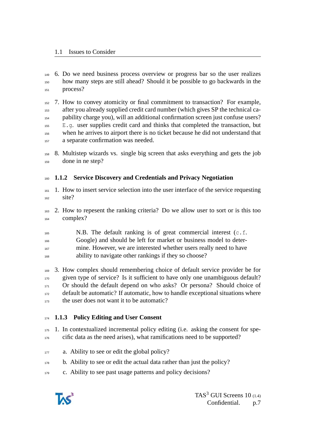6. Do we need business process overview or progress bar so the user realizes how many steps are still ahead? Should it be possible to go backwards in the 151 process?

 7. How to convey atomicity or final commitment to transaction? For example, after you already supplied credit card number (which gives SP the technical ca- pability charge you), will an additional confirmation screen just confuse users? E.g. user supplies credit card and thinks that completed the transaction, but when he arrives to airport there is no ticket because he did not understand that a separate confirmation was needed.

 8. Multistep wizards vs. single big screen that asks everything and gets the job done in ne step?

### <span id="page-6-0"></span>**1.1.2 Service Discovery and Credentials and Privacy Negotiation**

- 1. How to insert service selection into the user interface of the service requesting site?
- 2. How to repesent the ranking criteria? Do we allow user to sort or is this too complex?
- N.B. The default ranking is of great commercial interest (c.f. Google) and should be left for market or business model to deter- mine. However, we are interested whether users really need to have ability to navigate other rankings if they so choose?

 3. How complex should remembering choice of default service provider be for given type of service? Is it sufficient to have only one unambiguous default? 171 Or should the default depend on who asks? Or persona? Should choice of default be automatic? If automatic, how to handle exceptional situations where <sub>173</sub> the user does not want it to be automatic?

### <span id="page-6-1"></span>**1.1.3 Policy Editing and User Consent**

- 1. In contextualized incremental policy editing (i.e. asking the consent for spe-cific data as the need arises), what ramifications need to be supported?
- 177 a. Ability to see or edit the global policy?
- <sup>178</sup> b. Ability to see or edit the actual data rather than just the policy?
- c. Ability to see past usage patterns and policy decisions?

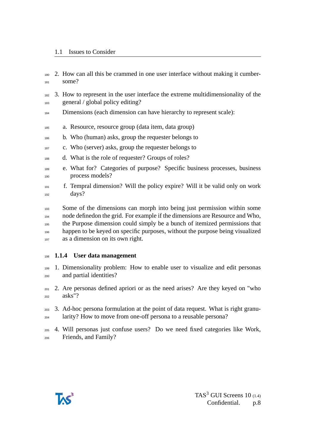- 2. How can all this be crammed in one user interface without making it cumber-some?
- 3. How to represent in the user interface the extreme multidimensionality of the general / global policy editing?
- 184 Dimensions (each dimension can have hierarchy to represent scale):
- a. Resource, resource group (data item, data group)
- b. Who (human) asks, group the requester belongs to
- c. Who (server) asks, group the requester belongs to
- d. What is the role of requester? Groups of roles?
- e. What for? Categories of purpose? Specific business processes, business process models?
- f. Tempral dimension? Will the policy expire? Will it be valid only on work 192 days?
- Some of the dimensions can morph into being just permission within some node definedon the grid. For example if the dimensions are Resource and Who, the Purpose dimension could simply be a bunch of itemized permissions that happen to be keyed on specific purposes, without the purpose being visualized as a dimension on its own right.

#### <span id="page-7-0"></span>**1.1.4 User data management**

- 1. Dimensionality problem: How to enable user to visualize and edit personas and partial identities?
- 2. Are personas defined apriori or as the need arises? Are they keyed on "who asks"?
- 3. Ad-hoc persona formulation at the point of data request. What is right granu-<sup>204</sup> larity? How to move from one-off persona to a reusable persona?
- 4. Will personas just confuse users? Do we need fixed categories like Work, Friends, and Family?

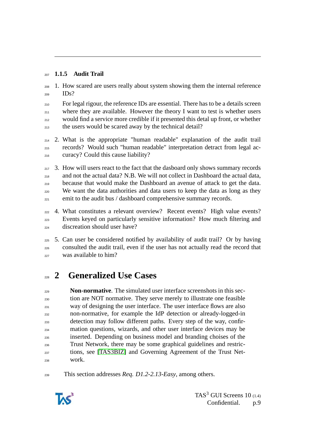### <span id="page-8-0"></span>**1.1.5 Audit Trail**

 1. How scared are users really about system showing them the internal reference IDs?

<sup>210</sup> For legal rigour, the reference IDs are essential. There has to be a details screen <sup>211</sup> where they are available. However the theory I want to test is whether users would find a service more credible if it presented this detal up front, or whether <sup>213</sup> the users would be scared away by the technical detail?

 2. What is the appropriate "human readable" explanation of the audit trail records? Would such "human readable" interpretation detract from legal ac-curacy? Could this cause liability?

 3. How will users react to the fact that the dasboard only shows summary records and not the actual data? N.B. We will not collect in Dashboard the actual data, because that would make the Dashboard an avenue of attack to get the data. <sup>220</sup> We want the data authorities and data users to keep the data as long as they emit to the audit bus / dashboard comprehensive summary records.

 4. What constitutes a relevant overview? Recent events? High value events? Events keyed on particularly sensitive information? How much filtering and discreation should user have?

 5. Can user be considered notified by availability of audit trail? Or by having consulted the audit trail, even if the user has not actually read the record that was available to him?

# <span id="page-8-1"></span>**2 Generalized Use Cases**

 **Non-normative**. The simulated user interface screenshots in this sec- tion are NOT normative. They serve merely to illustrate one feasible <sup>231</sup> way of designing the user interface. The user interface flows are also non-normative, for example the IdP detection or already-logged-in detection may follow different paths. Every step of the way, confir- mation questions, wizards, and other user interface devices may be inserted. Depending on business model and branding choises of the Trust Network, there may be some graphical guidelines and restric- tions, see [\[TAS3BIZ\]](#page-51-0) and Governing Agreement of the Trust Net-work.

This section addresses *Req. D1.2-2.13-Easy*, among others.

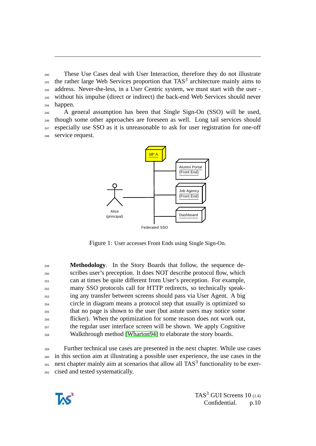<sup>240</sup> These Use Cases deal with User Interaction, therefore they do not illustrate <sup>241</sup> the rather large Web Services proportion that  $TAS<sup>3</sup>$  architecture mainly aims to <sup>242</sup> address. Never-the-less, in a User Centric system, we must start with the user - <sup>243</sup> without his impulse (direct or indirect) the back-end Web Services should never <sup>244</sup> happen.

 A general assumption has been that Single Sign-On (SSO) will be used, though some other approaches are foreseen as well. Long tail services should  $_{247}$  especially use SSO as it is unreasonable to ask for user registration for one-off service request.



Figure 1: User accesses Front Ends using Single Sign-On.

**Methodology.** In the Story Boards that follow, the sequence de- scribes user's preception. It does NOT describe protocol flow, which can at times be quite different from User's preception. For example, many SSO protocols call for HTTP redirects, so technically speak- ing any transfer between screens should pass via User Agent. A big circle in diagram means a protocol step that usually is optimized so that no page is shown to the user (but astute users may notice some flicker). When the optimization for some reason does not work out, <sup>257</sup> the regular user interface screen will be shown. We apply Cognitive Walkthrough method [\[Wharton94\]](#page-51-1) to elaborate the story boards.

 Further technical use cases are presented in the next chapter. While use cases in this section aim at illustrating a possible user experience, the use cases in the  $_{261}$  next chapter mainly aim at scenarios that allow all TAS<sup>3</sup> functionality to be exer-cised and tested systematically.

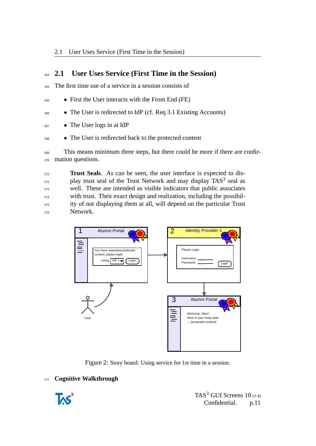# <span id="page-10-0"></span><sup>263</sup> **2.1 User Uses Service (First Time in the Session)**

<sup>264</sup> The first time use of a service in a session consists of

- <sup>265</sup> First the User interacts with the Front End (FE)
- <sup>266</sup> The User is redirected to IdP (cf. Req 3.1 Existing Accounts)
- <sup>267</sup> The User logs in at IdP
- <sup>268</sup> The User is redirected back to the protected content

<sup>269</sup> This means minimum three steps, but there could be more if there are confir-<sup>270</sup> mation questions.

**Trust Seals.** As can be seen, the user interface is expected to dis- $_{272}$  play trust seal of the Trust Network and may display TAS<sup>3</sup> seal as <sup>273</sup> well. These are intended as visible indicators that public associates <sup>274</sup> with trust. Their exact design and realization, including the possibil-<sup>275</sup> ity of not displaying them at all, will depend on the particular Trust <sup>276</sup> Network.



<span id="page-10-1"></span>Figure 2: Story board: Using service for 1st time in a session.

### <sup>277</sup> **Cognitive Walkthrough**

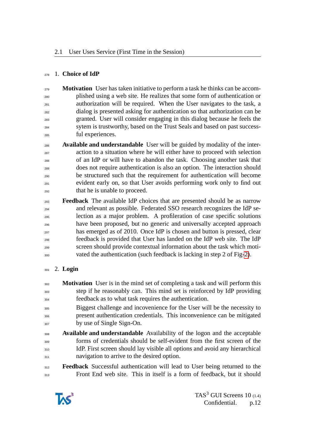#### 1. **Choice of IdP**

 **Motivation** User has taken initiative to perform a task he thinks can be accom- plished using a web site. He realizes that some form of authentication or authorization will be required. When the User navigates to the task, a dialog is presented asking for authentication so that authorization can be granted. User will consider engaging in this dialog because he feels the sytem is trustworthy, based on the Trust Seals and based on past success-ful experiences.

 **Available and understandable** User will be guided by modality of the inter- action to a situation where he will either have to proceed with selection of an IdP or will have to abandon the task. Choosing another task that does not require authentication is also an option. The interaction should be structured such that the requirement for authentication will become evident early on, so that User avoids performing work only to find out that he is unable to proceed.

 **Feedback** The available IdP choices that are presented should be as narrow and relevant as possible. Federated SSO research recognizes the IdP selection as a major problem. A profileration of case specific solutions have been proposed, but no generic and universally accepted approach has emerged as of 2010. Once IdP is chosen and button is pressed, clear feedback is provided that User has landed on the IdP web site. The IdP screen should provide contextual information about the task which moti-vated the authentication (such feedback is lacking in step 2 of Fig[-2\)](#page-10-1).

### 2. **Login**

 **Motivation** User is in the mind set of completing a task and will perform this step if he reasonably can. This mind set is reinforced by IdP providing feedback as to what task requires the authentication.

 Biggest challenge and incovenience for the User will be the necessity to present authentication credentials. This inconvenience can be mitigated by use of Single Sign-On.

- **Available and understandable** Availability of the logon and the acceptable forms of credentials should be self-evident from the first screen of the IdP. First screen should lay visible all options and avoid any hierarchical **navigation to arrive to the desired option.**
- **Feedback** Successful authentication will lead to User being returned to the Front End web site. This in itself is a form of feedback, but it should

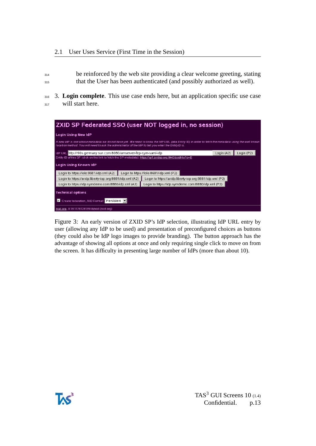<sup>314</sup> be reinforced by the web site providing a clear welcome greeting, stating <sup>315</sup> that the User has been authenticated (and possibly authorized as well).

<sup>316</sup> 3. **Login complete**. This use case ends here, but an application specific use case 317 will start here.

| ZXID SP Federated SSO (user NOT logged in, no session)                                                                                                                                                                                                     |                                                                                                          |                                                          |            |            |  |  |
|------------------------------------------------------------------------------------------------------------------------------------------------------------------------------------------------------------------------------------------------------------|----------------------------------------------------------------------------------------------------------|----------------------------------------------------------|------------|------------|--|--|
| Login Using New IdP                                                                                                                                                                                                                                        |                                                                                                          |                                                          |            |            |  |  |
| A new IdP is one whose metadata we do not have yet. We need to know the IdP URL (aka Entity ID) in order to fetch the metadata using the well known<br>location method. You will need to ask the adminstrator of the IdP to tell you what the EntityID is. |                                                                                                          |                                                          |            |            |  |  |
| ldP URL http://r90s.germany.sun.com:8080/amserver-fep-sym-saml-idp                                                                                                                                                                                         |                                                                                                          |                                                          | Login (A2) | Login (P2) |  |  |
| Entity ID of this SP (click on the link to fetch the SP metadata): https://sp1.zxidsp.org:8443/zxidhlo?o=B                                                                                                                                                 |                                                                                                          |                                                          |            |            |  |  |
| Login Using Known IdP                                                                                                                                                                                                                                      |                                                                                                          |                                                          |            |            |  |  |
| Login to https://lolo:8681/idp.xml (A2) Login to https://lolo:8681/idp.xml (P2)                                                                                                                                                                            |                                                                                                          |                                                          |            |            |  |  |
| Login to https://a-idp.liberty-iop.org:8881/idp.xml (A2)                                                                                                                                                                                                   |                                                                                                          | Login to https://a-idp.liberty-iop.org:8881/idp.xml (P2) |            |            |  |  |
|                                                                                                                                                                                                                                                            | Login to https://idp.symdemo.com:8880/idp.xml (A2)<br>Login to https://idp.symdemo.com:8880/idp.xml (P2) |                                                          |            |            |  |  |
| <b>Technical options</b>                                                                                                                                                                                                                                   |                                                                                                          |                                                          |            |            |  |  |
| Create federation, NID Format: Persistent<br>И                                                                                                                                                                                                             |                                                                                                          |                                                          |            |            |  |  |
| zxid.org, 0.18 1178728139 libzxid (zxid.org)                                                                                                                                                                                                               |                                                                                                          |                                                          |            |            |  |  |

Figure 3: An early version of ZXID SP's IdP selection, illustrating IdP URL entry by user (allowing any IdP to be used) and presentation of preconfigured choices as buttons (they could also be IdP logo images to provide branding). The button approach has the advantage of showing all options at once and only requiring single click to move on from the screen. It has difficulty in presenting large number of IdPs (more than about 10).

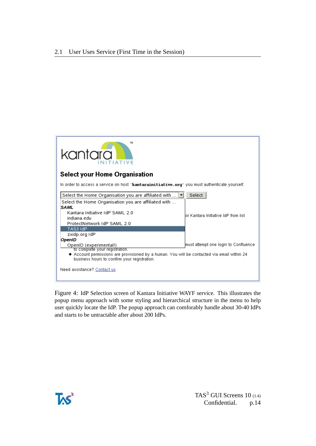

Figure 4: IdP Selection screen of Kantara Initiative WAYF service. This illustrates the popup menu approach with some styling and hierarchical structure in the menu to help user quickly locate the IdP. The popup approach can comforably handle about 30-40 IdPs and starts to be untractable after about 200 IdPs.

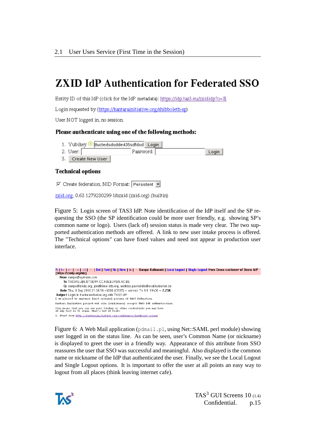# **ZXID IdP Authentication for Federated SSO**

Entity ID of this IdP (click for the IdP metadata): https://idp.tas3.eu/zxididp?o=B

Login requested by (https://kantarainitiative.org/shibboleth-sp)

User NOT logged in, no session.

#### Please authenticate using one of the following methods:

- 1. Yubikey lituctedsdsdde435sdfdsd Login
- 2. User:  $\vert$ Password: Login
- 3. Create New User

#### **Technical options**

 $\boxed{\blacksquare}$  Create federation, NID Format: Persistent  $\boxed{\blacktriangledown}$ 

zxid.org, 0.63 1279230299 libzxid (zxid.org) (builtin)

Figure 5: Login screen of TAS3 IdP. Note identification of the IdP itself and the SP requesting the SSO (the SP identification could be more user friendly, e.g. showing SP's common name or logo). Users (lack of) session status is made very clear. The two supported authentication methods are offered. A link to new user intake process is offered. The "Technical options" can have fixed values and need not appear in production user interface.



Figure 6: A Web Mail application (pdmail.pl, using Net::SAML perl module) showing user logged in on the status line. As can be seen, user's Common Name (or nickname) is displayed to greet the user in a friendly way. Appearance of this attribute from SSO reassures the user that SSO was successful and meaningful. Also displayed is the common name or nickname of the IdP that authenticated the user. Finally, we see the Local Logout and Single Logout options. It is important to offer the user at all points an easy way to logout from all places (think leaving internet cafe).

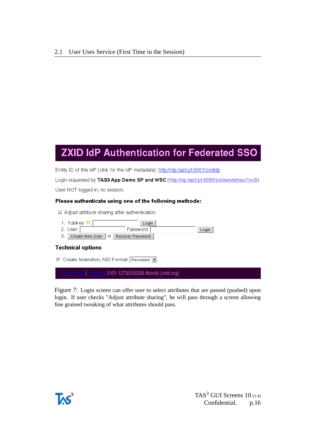# **ZXID IdP Authentication for Federated SSO**

Entity ID of this IdP (click for the IdP metadata): http://idp.tas3.pt:8081/zxididp

Login requested by TAS3 App Demo SP and WSC (http://sp.tas3.pt:8080/zxidservlet/sso?o=B)

User NOT logged in, no session.

#### Please authenticate using one of the following methods:

D Adjust attribute sharing after authentication

- 1. Yubikey <sup>1</sup> [ Login
- 2. User: [ Password:  $Login$
- 3. Create New User | Of Recover Password |

#### **Technical options**

□ Create federation, NID Format: Persistent J

g, 0.63 1279230299 libzxid (zxid.org)

Figure 7: Login screen can offer user to select attributes that are passed (pushed) upon login. If user checks "Adjust attribute sharing", he will pass through a screen allowing fine grained tweaking of what attributes should pass.

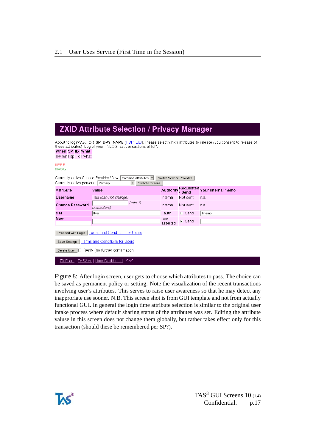*characters*)

**IIval** 

Proceed with Login | Terms and Conditions for Users Save Settings | Terms and Conditions for Users Delete User |□ Really (no further confirmation)

ZXID.org | TAS3.eu | User Dashboard - \$/d\$

# **ZXID Attribute Selection / Privacy Manager**

About to login/SSO to !!SP\_DPY\_NAME (ISP\_EID). Please select which attributes to release (you consent to release of these attributes). Log of your IINLOG last transactions at IdP: When SP ID What Ilwhen IIsp IIid Ilwhat **IIERR IIMSG** Currently active Service Provider View: Common attributes v switch Service Provider Currently active persona: Primary  $\boxed{\bullet}$  Switch Persona Authority Requested Your internal memo **Attribute** Value Username llau (can not change) Internal Not sent n.a.  $min.5$ Change Password Internal Not sent n.a.

**Hauth** 

asserted

Self

 $\Gamma$  Send

 $\nabla$  Send

 $\sqrt{I/memo}$ 

Figure 8: After login screen, user gets to choose which attributes to pass. The choice can be saved as permanent policy or setting. Note the visualization of the recent transactions involving user's attributes. This serves to raise user awareness so that he may detect any inapproriate use sooner. N.B. This screen shot is from GUI template and not from actually functional GUI. In general the login time attribute selection is similar to the original user intake process where default sharing status of the attributes was set. Editing the attribute valuse in this screen does not change them globally, but rather takes effect only for this transaction (should these be remembered per SP?).



**Hat** 

**New**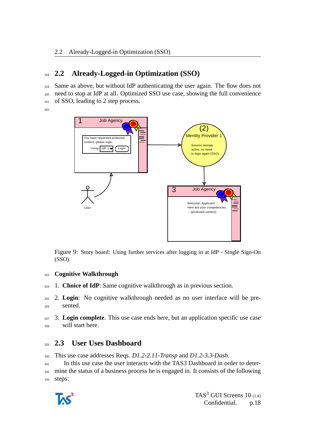# <span id="page-17-0"></span><sup>318</sup> **2.2 Already-Logged-in Optimization (SSO)**

319 Same as above, but without IdP authenticating the user again. The flow does not <sup>320</sup> need to stop at IdP at all. Optimized SSO use case, showing the full convenience 321 of SSO, leading to 2 step process.

322



Figure 9: Story board: Using further services after logging in at IdP - Single Sign-On (SSO).

### <sup>323</sup> **Cognitive Walkthrough**

<sup>324</sup> 1. **Choice of IdP**: Same cognitive walkthrough as in previous section.

<sup>325</sup> 2. **Login**: No cognitive walkthrough needed as no user interface will be presented.

<sup>327</sup> 3. **Login complete**. This use case ends here, but an application specific use case <sup>328</sup> will start here.

# <span id="page-17-1"></span><sup>329</sup> **2.3 User Uses Dashboard**

<sup>330</sup> This use case addresses Reqs. *D1.2-2.11-Transp* and *D1.2-3.3-Dash*.

<sup>331</sup> In this use case the user interacts with the TAS3 Dashboard in order to deter-<sup>332</sup> mine the status of a business process he is engaged in. It consists of the following 333 steps:

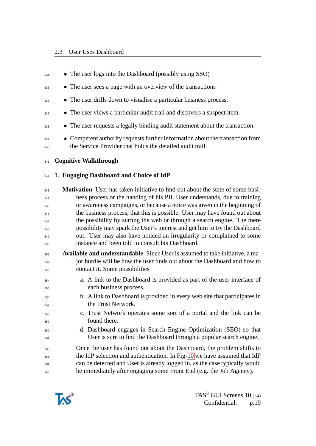• The user logs into the Dashboard (possibly using SSO) <sup>335</sup> • The user sees a page with an overview of the transactions <sup>336</sup> • The user drills down to visualise a particular business process. <sup>337</sup> • The user views a particular audit trail and discovers a suspect item. **•** The user requests a legally binding audit statement about the transaction. <sup>339</sup> • Competent authority requests further information about the transaction from <sup>340</sup> the Service Provider that holds the detailed audit trail. **Cognitive Walkthrough** 1. **Engaging Dashboard and Choice of IdP Motivation** User has taken initiative to find out about the state of some busi- ness process or the handing of his PII. User understands, due to training or awareness campaigns, or because a noice was given in the beginning of <sup>346</sup> the business process, that this is possible. User may have found out about <sup>347</sup> the possibility by surfing the web or through a search engine. The mere possibility may spark the User's interest and get him to try the Dashboard out. User may also have noticed an irregularity or complained to some instance and been told to consult his Dashboard. **Available and understandable** Since User is assumed to take initiative, a ma- jor hurdle will be how the user finds out about the Dashboard and how to contact it. Some possibilities a. A link to the Dashboard is provided as part of the user interface of each business process. b. A link to Dashboard is provided in every web site that participates in the Trust Network. c. Trust Network operates some sort of a portal and the link can be found there. d. Dashboard engages in Search Engine Optimization (SEO) so that User is sure to find the Dashboard through a popular search engine. Once the user has found out about the Dashboard, the problem shifts to the IdP selection and authentication. In Fig[-10](#page-21-0) we have assumed that IdP can be detected and User is already logged in, as the case typically would be immediately after engaging some Front End (e.g. the Job Agency).

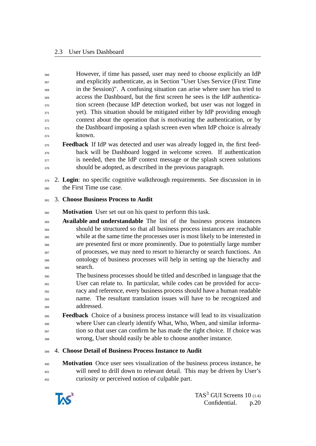However, if time has passed, user may need to choose explicitly an IdP and explicitly authenticate, as in Section "User Uses Service (First Time in the Session)". A confusing situation can arise where user has tried to access the Dashboard, but the first screen he sees is the IdP authentica- tion screen (because IdP detection worked, but user was not logged in 371 yet). This situation should be mitigated either by IdP providing enough context about the operation that is motivating the authentication, or by the Dashboard imposing a splash screen even when IdP choice is already known.

- <sup>375</sup> **Feedback** If IdP was detected and user was already logged in, the first feed- back will be Dashboard logged in welcome screen. If authentication is needed, then the IdP context message or the splash screen solutions should be adopted, as described in the previous paragraph.
- 2. **Login**: no specific cognitive walkthrough requirements. See discussion in in the First Time use case.
- 3. **Choose Business Process to Audit**
- **Motivation** User set out on his quest to perform this task.
- **Available and understandable** The list of the business process instances should be structured so that all business process instances are reachable while at the same time the processes user is most likely to be interested in are presented first or more prominently. Due to potentially large number of processes, we may need to resort to hierarchy or search functions. An ontology of business processes will help in setting up the hierachy and search.
- The business processes should be titled and described in language that the User can relate to. In particular, while codes can be provided for accu- racy and reference, every business process should have a human readable name. The resultant translation issues will have to be recognized and addressed.
- **Feedback** Choice of a business process instance will lead to its visualization where User can clearly identify What, Who, When, and similar informa- tion so that user can confirm he has made the right choice. If choice was wrong, User should easily be able to choose another instance.

#### 4. **Choose Detail of Business Process Instance to Audit**

 **Motivation** Once user sees visualization of the business process instance, he will need to drill down to relevant detail. This may be driven by User's curiosity or perceived notion of culpable part.

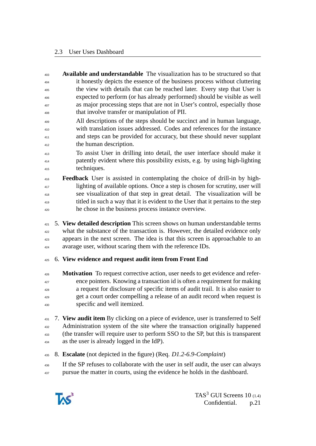- **Available and understandable** The visualization has to be structured so that it honestly depicts the essence of the business process without cluttering the view with details that can be reached later. Every step that User is expected to perform (or has already performed) should be visible as well as major processing steps that are not in User's control, especially those that involve transfer or manipulation of PII.
- All descriptions of the steps should be succinct and in human language, with translation issues addressed. Codes and references for the instance <sup>411</sup> and steps can be provided for accuracy, but these should never supplant the human description.
- To assist User in drilling into detail, the user interface should make it patently evident where this possibility exists, e.g. by using high-lighting techniques.
- **Feedback** User is assisted in contemplating the choice of drill-in by high- lighting of available options. Once a step is chosen for scrutiny, user will see visualization of that step in great detail. The visualization will be titled in such a way that it is evident to the User that it pertains to the step he chose in the business process instance overview.
- 5. **View detailed description** This screen shows on human understandable terms what the substance of the transaction is. However, the detailed evidence only appears in the next screen. The idea is that this screen is approachable to an <sup>424</sup> avarage user, without scaring them with the reference IDs.
- 6. **View evidence and request audit item from Front End**
- **Motivation** To request corrective action, user needs to get evidence and refer- ence pointers. Knowing a transaction id is often a requirement for making a request for disclosure of specific items of audit trail. It is also easier to get a court order compelling a release of an audit record when request is specific and well itemized.
- 7. **View audit item** By clicking on a piece of evidence, user is transferred to Self Administration system of the site where the transaction originally happened (the transfer will require user to perform SSO to the SP, but this is transparent as the user is already logged in the IdP).
- 8. **Escalate** (not depicted in the figure) (Req. *D1.2-6.9-Complaint*)
- If the SP refuses to collaborate with the user in self audit, the user can always pursue the matter in courts, using the evidence he holds in the dashboard.

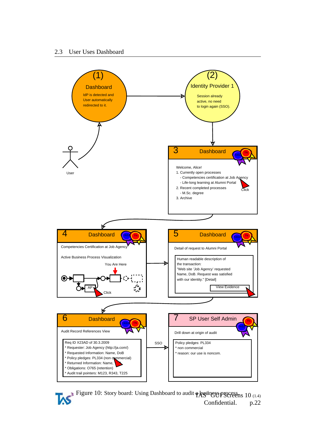

<span id="page-21-0"></span>Figure 10: Story board: Using Dashboard to audit **a hysiness process** 10 (1.4) Confidential. p.22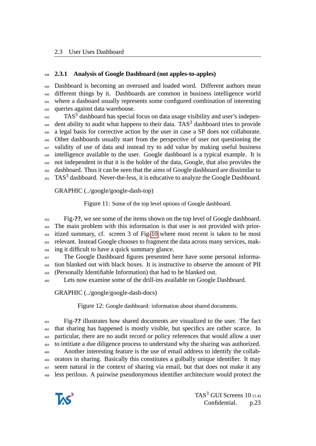#### <span id="page-22-0"></span>**2.3.1 Analysis of Google Dashboard (not apples-to-apples)**

 Dashboard is becoming an overused and loaded word. Different authors mean different things by it. Dashboards are common in business intelligence world where a dasboard usually represents some configured combination of interesting queries against data warehouse.

 $TAS<sup>3</sup>$  dashboard has special focus on data usage visibility and user's indepen- dent ability to audit what happens to their data. TAS<sup>3</sup> dashboard tries to provide a legal basis for corrective action by the user in case a SP does not collaborate. Other dashboards usually start from the perspective of user not questioning the validity of use of data and instead try to add value by making useful business intelligence available to the user. Google dashboard is a typical example. It is not independent in that it is the holder of the data, Google, that also provides the dashboard. Thus it can be seen that the aims of Google dashboard are dissimilar to TAS<sup>3</sup> dashboard. Never-the-less, it is educative to analyze the Google Dashboard.

GRAPHIC (../google/google-dash-top)

Figure 11: Some of the top level options of Google dashboard.

 Fig-**??**, we see some of the items shown on the top level of Google dashboard. The main problem with this information is that user is not provided with prior- itized summary, cf. screen 3 of Fig[-10](#page-21-0) where most recent is taken to be most relevant. Instead Google chooses to fragment the data across many services, mak-ing it difficult to have a quick summary glance.

 The Google Dashboard figures presented here have some personal informa- tion blanked out with black boxes. It is instructive to observe the amount of PII (Personally Identifiable Information) that had to be blanked out.

Lets now examine some of the drill-ins available on Google Dashboard.

GRAPHIC (../google/google-dash-docs)

Figure 12: Google dashboard: information about shared documents.

 Fig-**??** illustrates how shared documents are visualized to the user. The fact that sharing has happened is mostly visible, but specifics are rather scarce. In particular, there are no audit record or policy references that would allow a user to intitiate a due diligence process to understand why the sharing was authorized. Another interesting feature is the use of email address to identify the collab- orators in sharing. Basically this constitutes a golbally unique identifier. It may seem natural in the context of sharing via email, but that does not make it any less perilous. A pairwise pseudonymous identifier architecture would protect the

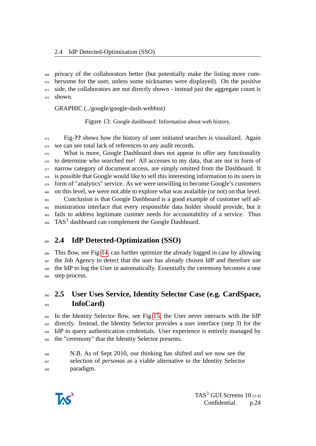privacy of the collaborators better (but potentially make the listing more cum- bersome for the user, unless some nicknames were displayed). On the positive 471 side, the collaborators are not directly shown - instead just the aggregate count is shown.

GRAPHIC (../google/google-dash-webhist)

Figure 13: Google dashboard: Information about web history.

 Fig-**??** shows how the history of user initiated searches is visualized. Again 474 we can see total lack of references to any audit records.

 What is more, Google Dashboard does not appear to offer any functionality to determine who searched me! All accesses to my data, that are not in form of <sup>477</sup> narrow category of document access, are simply omitted from the Dashboard. It is possible that Google would like to sell this interesting information to its users in form of "analytics" service. As we were unwilling to become Google's customers on this level, we were not able to explore what was avalaible (or not) on that level. Conclusion is that Google Dashboard is a good example of customer self ad- ministration interface that every responsible data holder should provide, but it fails to address legitimate custmer needs for accountability of a service. Thus

TAS<sup>3</sup> dashboard can complement the Google Dashboard.

# <span id="page-23-0"></span>**2.4 IdP Detected-Optimization (SSO)**

 This flow, see Fig[-14,](#page-24-1) can further optimize the already logged in case by allowing the Job Agency to detect that the user has already chosen IdP and therefore use the IdP to log the User in automatically. Essentially the ceremony becomes a one step process.

# <span id="page-23-1"></span> **2.5 User Uses Service, Identity Selector Case (e.g. CardSpace, InfoCard)**

 In the Identity Selector flow, see Fig[-15,](#page-24-2) the User never interacts with the IdP directly. Instead, the Identity Selector provides a user interface (step 3) for the IdP to query authentication credentials. User experience is entirely managed by the "ceremony" that the Identity Selector presents.

N.B. As of Sept 2010, our thinking has shifted and we now see the

 selection of *personas* as a viable alternative to the Identity Selector paradigm.

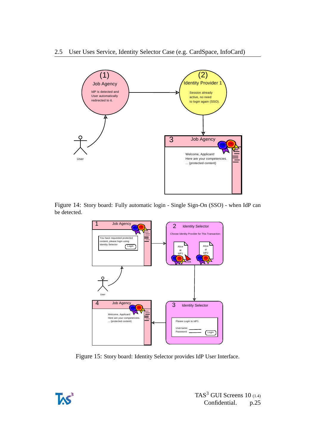

Figure 14: Story board: Fully automatic login - Single Sign-On (SSO) - when IdP can be detected.

<span id="page-24-1"></span>

<span id="page-24-2"></span>Figure 15: Story board: Identity Selector provides IdP User Interface.

<span id="page-24-0"></span>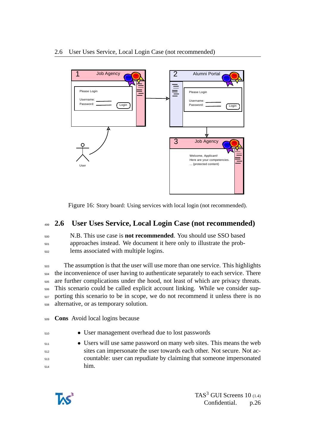

Figure 16: Story board: Using services with local login (not recommended).

# <sup>499</sup> **2.6 User Uses Service, Local Login Case (not recommended)**

<sup>500</sup> N.B. This use case is **not recommended**. You should use SSO based <sup>501</sup> approaches instead. We document it here only to illustrate the prob-<sup>502</sup> lems associated with multiple logins.

 The assumption is that the user will use more than one service. This highlights the inconvenience of user having to authenticate separately to each service. There are further complications under the hood, not least of which are privacy threats. This scenario could be called explicit account linking. While we consider sup- porting this scenario to be in scope, we do not recommend it unless there is no alternative, or as temporary solution.

<sup>509</sup> **Cons** Avoid local logins because

- <sup>510</sup> User management overhead due to lost passwords
- <sup>511</sup> Users will use same password on many web sites. This means the web <sup>512</sup> sites can impersonate the user towards each other. Not secure. Not ac-<sup>513</sup> countable: user can repudiate by claiming that someone impersonated <sup>514</sup> him.

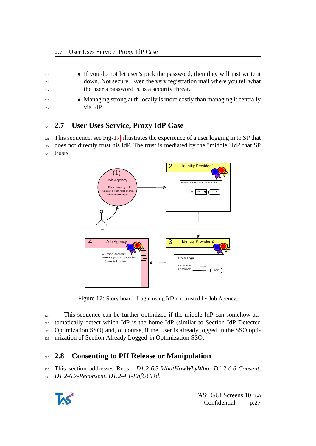| 515 | • If you do not let user's pick the password, then they will just write it |
|-----|----------------------------------------------------------------------------|
| 516 | down. Not secure. Even the very registration mail where you tell what      |
| 517 | the user's password is, is a security threat.                              |
| 518 | • Managing strong auth locally is more costly than managing it centrally   |
| 519 | via IdP.                                                                   |

## <span id="page-26-0"></span><sup>520</sup> **2.7 User Uses Service, Proxy IdP Case**

 $521$  This sequence, see Fig[-17,](#page-26-2) illustrates the experience of a user logging in to SP that <sup>522</sup> does not directly trust his IdP. The trust is mediated by the "middle" IdP that SP <sup>523</sup> trusts.



<span id="page-26-2"></span>Figure 17: Story board: Login using IdP not trusted by Job Agency.

 This sequence can be further optimized if the middle IdP can somehow au- tomatically detect which IdP is the home IdP (similar to Section IdP Detected Optimization SSO) and, of course, if the User is already logged in the SSO opti-mization of Section Already Logged-in Optimization SSO.

# <span id="page-26-1"></span><sup>528</sup> **2.8 Consenting to PII Release or Manipulation**

<sup>529</sup> This section addresses Reqs. *D1.2-6.3-WhatHowWhyWho*, *D1.2-6.6-Consent*, <sup>530</sup> *D1.2-6.7-Reconsent*, *D1.2-4.1-EnfUCPol*.

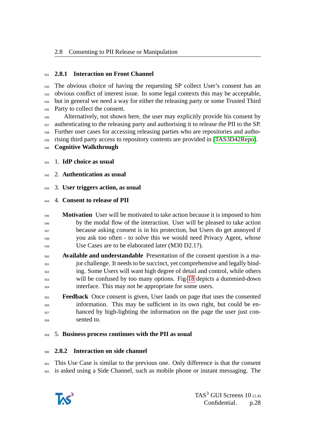#### <span id="page-27-0"></span>**2.8.1 Interaction on Front Channel**

 The obvious choice of having the requesting SP collect User's consent has an obvious conflict of interest issue. In some legal contexts this may be acceptable, but in general we need a way for either the releasing party or some Trusted Third Party to collect the consent.

 Alternatively, not shown here, the user may explicitly provide his consent by authenticating to the releasing party and authorising it to release the PII to the SP. Further user cases for accessing releasing parties who are repositories and autho-rising third party access to repository contents are provided in [\[TAS3D42Repo\]](#page-51-2).

- **Cognitive Walkthrough**
- 1. **IdP choice as usual**
- 2. **Authentication as usual**
- 3. **User triggers action, as usual**

### 4. **Consent to release of PII**

- **Motivation** User will be motivated to take action because it is imposed to him by the modal flow of the interaction. User will be pleased to take action because asking consent is in his protection, but Users do get annoyed if you ask too often - to solve this we would need Privacy Agent, whose Use Cases are to be elaborated later (M30 D2.1?).
- **Available and understandable** Presentation of the consent question is a ma- jor challenge. It needs to be succinct, yet comprehensive and legally binding. Some Users will want high degree of detail and control, while others will be confused by too many options. Fig[-18](#page-28-0) depicts a dummied-down interface. This may not be appropriate for some users.
- **Feedback** Once consent is given, User lands on page that uses the consented information. This may be sufficient in its own right, but could be en- hanced by high-lighting the information on the page the user just con-sented to.

### 5. **Business process continues with the PII as usual**

### <span id="page-27-1"></span>**2.8.2 Interaction on side channel**

 This Use Case is similar to the previous one. Only difference is that the consent is asked using a Side Channel, such as mobile phone or instant messaging. The

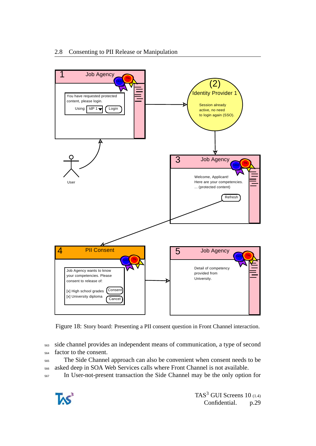

<span id="page-28-0"></span>Figure 18: Story board: Presenting a PII consent question in Front Channel interaction.

<sup>563</sup> side channel provides an independent means of communication, a type of second <sup>564</sup> factor to the consent.

<sup>565</sup> The Side Channel approach can also be convenient when consent needs to be <sup>566</sup> asked deep in SOA Web Services calls where Front Channel is not available.

<sup>567</sup> In User-not-present transaction the Side Channel may be the only option for

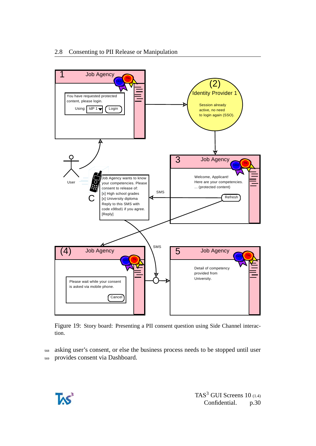

Figure 19: Story board: Presenting a PII consent question using Side Channel interaction.

<sup>568</sup> asking user's consent, or else the business process needs to be stopped until user <sup>569</sup> provides consent via Dashboard.

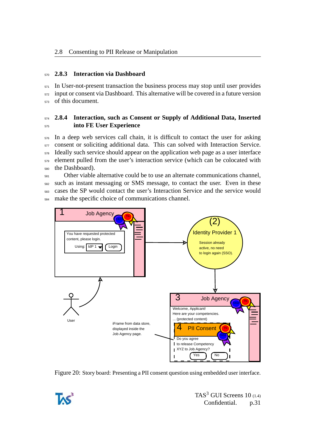#### <span id="page-30-0"></span><sup>570</sup> **2.8.3 Interaction via Dashboard**

 $571$  In User-not-present transaction the business process may stop until user provides <sup>572</sup> input or consent via Dashboard. This alternative will be covered in a future version <sup>573</sup> of this document.

### <span id="page-30-1"></span><sup>574</sup> **2.8.4 Interaction, such as Consent or Supply of Additional Data, Inserted** <sup>575</sup> **into FE User Experience**

 In a deep web services call chain, it is difficult to contact the user for asking consent or soliciting additional data. This can solved with Interaction Service. Ideally such service should appear on the application web page as a user interface element pulled from the user's interaction service (which can be colocated with the Dashboard).

 Other viable alternative could be to use an alternate communications channel, such as instant messaging or SMS message, to contact the user. Even in these cases the SP would contact the user's Interaction Service and the service would make the specific choice of communications channel.



Figure 20: Story board: Presenting a PII consent question using embedded user interface.

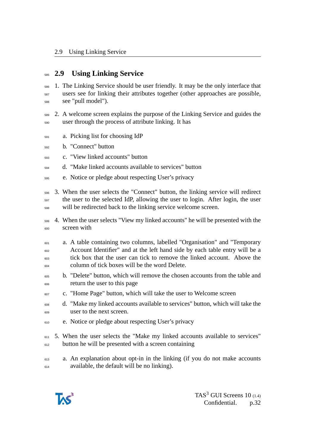## <span id="page-31-0"></span>**2.9 Using Linking Service**

- 1. The Linking Service should be user friendly. It may be the only interface that users see for linking their attributes together (other approaches are possible, see "pull model").
- 2. A welcome screen explains the purpose of the Linking Service and guides the user through the process of attribute linking. It has
- a. Picking list for choosing IdP
- b. "Connect" button
- c. "View linked accounts" button
- d. "Make linked accounts available to services" button
- e. Notice or pledge about respecting User's privacy
- 3. When the user selects the "Connect" button, the linking service will redirect the user to the selected IdP, allowing the user to login. After login, the user will be redirected back to the linking service welcome screen.
- 4. When the user selects "View my linked accounts" he will be presented with the screen with
- a. A table containing two columns, labelled "Organisation" and "Temporary Account Identifier" and at the left hand side by each table entry will be a tick box that the user can tick to remove the linked account. Above the column of tick boxes will be the word Delete.
- b. "Delete" button, which will remove the chosen accounts from the table and return the user to this page
- c. "Home Page" button, which will take the user to Welcome screen
- d. "Make my linked accounts available to services" button, which will take the user to the next screen.
- e. Notice or pledge about respecting User's privacy
- <sup>611</sup> 5. When the user selects the "Make my linked accounts available to services" <sup>612</sup> button he will be presented with a screen containing
- a. An explanation about opt-in in the linking (if you do not make accounts available, the default will be no linking).

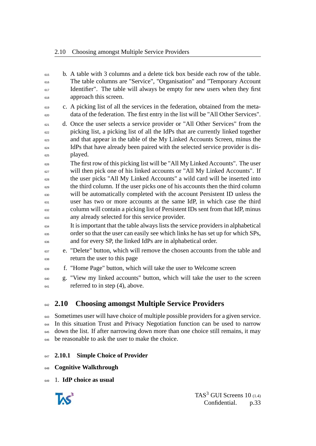$\epsilon_{615}$  b. A table with 3 columns and a delete tick box beside each row of the table. The table columns are "Service", "Organisation" and "Temporary Account Identifier". The table will always be empty for new users when they first <sup>618</sup> approach this screen. c. A picking list of all the services in the federation, obtained from the meta- data of the federation. The first entry in the list will be "All Other Services". d. Once the user selects a service provider or "All Other Services" from the picking list, a picking list of all the IdPs that are currently linked together and that appear in the table of the My Linked Accounts Screen, minus the IdPs that have already been paired with the selected service provider is dis- $_{625}$  played. <sup>626</sup> The first row of this picking list will be "All My Linked Accounts". The user <sup>627</sup> will then pick one of his linked accounts or "All My Linked Accounts". If the user picks "All My Linked Accounts" a wild card will be inserted into the third column. If the user picks one of his accounts then the third column will be automatically completed with the account Persistent ID unless the user has two or more accounts at the same IdP, in which case the third column will contain a picking list of Persistent IDs sent from that IdP, minus any already selected for this service provider. It is important that the table always lists the service providers in alphabetical order so that the user can easily see which links he has set up for which SPs, and for every SP, the linked IdPs are in alphabetical order. <sup>637</sup> e. "Delete" button, which will remove the chosen accounts from the table and return the user to this page f. "Home Page" button, which will take the user to Welcome screen g. "View my linked accounts" button, which will take the user to the screen  $_{641}$  referred to in step (4), above.

# <span id="page-32-0"></span>**2.10 Choosing amongst Multiple Service Providers**

 Sometimes user will have choice of multiple possible providers for a given service. In this situation Trust and Privacy Negotiation function can be used to narrow <sup>645</sup> down the list. If after narrowing down more than one choice still remains, it may 646 be reasonable to ask the user to make the choice.

### <span id="page-32-1"></span>**2.10.1 Simple Choice of Provider**

**Cognitive Walkthrough**

1. **IdP choice as usual**

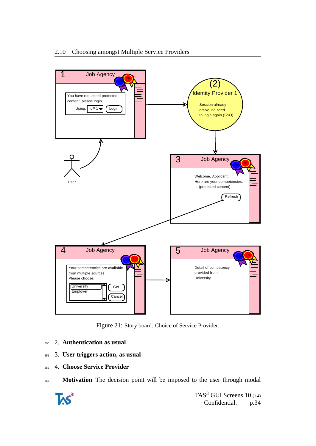

Figure 21: Story board: Choice of Service Provider.

- <sup>650</sup> 2. **Authentication as usual**
- <sup>651</sup> 3. **User triggers action, as usual**
- <sup>652</sup> 4. **Choose Service Provider**
- <sup>653</sup> **Motivation** The decision point will be imposed to the user through modal

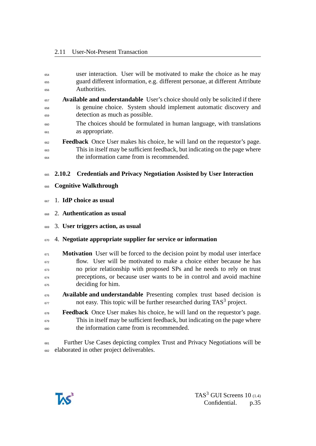<span id="page-34-0"></span>

| 654        | user interaction. User will be motivated to make the choice as he may                    |  |  |  |  |  |
|------------|------------------------------------------------------------------------------------------|--|--|--|--|--|
| 655        | guard different information, e.g. different personae, at different Attribute             |  |  |  |  |  |
| 656        | Authorities.                                                                             |  |  |  |  |  |
| 657        | <b>Available and understandable</b> User's choice should only be solicited if there      |  |  |  |  |  |
| 658        | is genuine choice. System should implement automatic discovery and                       |  |  |  |  |  |
| 659        | detection as much as possible.                                                           |  |  |  |  |  |
| 660<br>661 | The choices should be formulated in human language, with translations<br>as appropriate. |  |  |  |  |  |
| 662        | <b>Feedback</b> Once User makes his choice, he will land on the requestor's page.        |  |  |  |  |  |
| 663        | This in itself may be sufficient feedback, but indicating on the page where              |  |  |  |  |  |
| 664        | the information came from is recommended.                                                |  |  |  |  |  |
| 665        | <b>Credentials and Privacy Negotiation Assisted by User Interaction</b><br>2.10.2        |  |  |  |  |  |
| 666        | <b>Cognitive Walkthrough</b>                                                             |  |  |  |  |  |
| 667        | 1. IdP choice as usual                                                                   |  |  |  |  |  |
| 668        | 2. Authentication as usual                                                               |  |  |  |  |  |
| 669        | 3. User triggers action, as usual                                                        |  |  |  |  |  |
| 670        | 4. Negotiate appropriate supplier for service or information                             |  |  |  |  |  |
| 671        | <b>Motivation</b> User will be forced to the decision point by modal user interface      |  |  |  |  |  |
| 672        | flow. User will be motivated to make a choice either because he has                      |  |  |  |  |  |
| 673        | no prior relationship with proposed SPs and he needs to rely on trust                    |  |  |  |  |  |
| 674        | preceptions, or because user wants to be in control and avoid machine                    |  |  |  |  |  |
| 675        | deciding for him.                                                                        |  |  |  |  |  |
| 676        | Available and understandable Presenting complex trust based decision is                  |  |  |  |  |  |
| 677        | not easy. This topic will be further researched during TAS <sup>3</sup> project.         |  |  |  |  |  |
| 678        | <b>Feedback</b> Once User makes his choice, he will land on the requestor's page.        |  |  |  |  |  |
| 679        | This in itself may be sufficient feedback, but indicating on the page where              |  |  |  |  |  |
| 680        | the information came from is recommended.                                                |  |  |  |  |  |
|            |                                                                                          |  |  |  |  |  |

 Further Use Cases depicting complex Trust and Privacy Negotiations will be elaborated in other project deliverables.

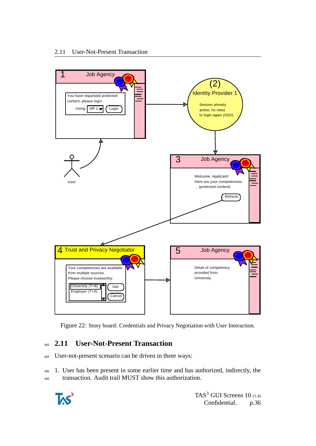

Figure 22: Story board: Credentials and Privacy Negotiation with User Interaction.

# <span id="page-35-0"></span><sup>683</sup> **2.11 User-Not-Present Transaction**

<sup>684</sup> User-not-present scenario can be driven in three ways:

<sup>685</sup> 1. User has been present in some earlier time and has authorized, indirectly, the <sup>686</sup> transaction. Audit trail MUST show this authorization.

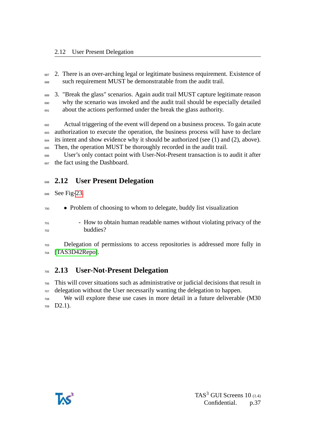<sup>687</sup> 2. There is an over-arching legal or legitimate business requirement. Existence of such requirement MUST be demonstratable from the audit trail.

 3. "Break the glass" scenarios. Again audit trail MUST capture legitimate reason why the scenario was invoked and the audit trail should be especially detailed  $\epsilon_{001}$  about the actions performed under the break the glass authority.

 Actual triggering of the event will depend on a business process. To gain acute authorization to execute the operation, the business process will have to declare its intent and show evidence why it should be authorized (see (1) and (2), above). 695 Then, the operation MUST be thoroughly recorded in the audit trail.

 User's only contact point with User-Not-Present transaction is to audit it after the fact using the Dashboard.

# <span id="page-36-0"></span>**2.12 User Present Delegation**

See Fig[-23.](#page-37-0)

- Problem of choosing to whom to delegate, buddy list visualization
- <sup>701</sup> How to obtain human readable names without violating privacy of the buddies?

 Delegation of permissions to access repositories is addressed more fully in [\[TAS3D42Repo\]](#page-51-2).

# <span id="page-36-1"></span>**2.13 User-Not-Present Delegation**

 This will cover situations such as administrative or judicial decisions that result in delegation without the User necessarily wanting the delegation to happen.

 We will explore these use cases in more detail in a future deliverable (M30 D2.1).

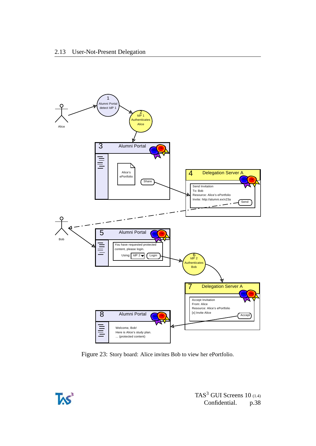

<span id="page-37-0"></span>Figure 23: Story board: Alice invites Bob to view her ePortfolio.

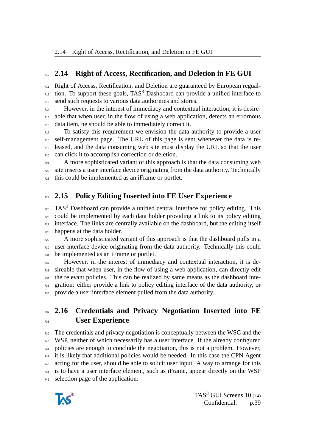## <span id="page-38-0"></span>**2.14 Right of Access, Rectification, and Deletion in FE GUI**

 Right of Access, Rectification, and Deletion are guaranteed by European regual- tion. To support these goals, TAS<sup>3</sup> Dashboard can provide a unified interface to send such requests to various data authorities and stores.

 However, in the interest of immediacy and contextual interaction, it is desire- able that when user, in the flow of using a web application, detects an errornous data item, he should be able to immediately correct it.

 To satisfy this requirement we envision the data authority to provide a user self-management page. The URL of this page is sent whenever the data is re- leased, and the data consuming web site must display the URL so that the user can click it to accomplish correction or deletion.

 A more sophisticated variant of this approach is that the data consuming web site inserts a user interface device originating from the data authority. Technically this could be implemented as an iFrame or portlet.

# <span id="page-38-1"></span>**2.15 Policy Editing Inserted into FE User Experience**

 TAS<sup>3</sup> Dashboard can provide a unified central interface for policy editing. This could be implemented by each data holder providing a link to its policy editing interface. The links are centrally available on the dashboard, but the editing itself happens at the data holder.

 A more sophisticated variant of this approach is that the dashboard pulls in a user interface device originating from the data authority. Technically this could be implemented as an iFrame or portlet.

 However, in the interest of immediacy and contextual interaction, it is de- sireable that when user, in the flow of using a web application, can directly edit the relevant policies. This can be realized by same means as the dashboard inte- gration: either provide a link to policy editing interface of the data authority, or provide a user interface element pulled from the data authority.

# <span id="page-38-2"></span> **2.16 Credentials and Privacy Negotiation Inserted into FE User Experience**

 The credentials and privacy negotiation is conceptually between the WSC and the WSP, neither of which necessarily has a user interface. If the already configured policies are enough to conclude the negotiation, this is not a problem. However, it is likely that additional policies would be needed. In this case the CPN Agent acting for the user, should be able to solicit user input. A way to arrange for this is to have a user interface element, such as iFrame, appear directly on the WSP selection page of the application.

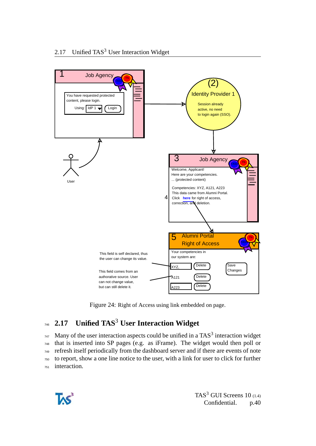

Figure 24: Right of Access using link embedded on page.

# <span id="page-39-0"></span>**2.17 Unified TAS**<sup>3</sup> <sup>746</sup> **User Interaction Widget**

 $_{747}$  Many of the user interaction aspects could be unified in a TAS<sup>3</sup> interaction widget that is inserted into SP pages (e.g. as iFrame). The widget would then poll or refresh itself periodically from the dashboard server and if there are events of note to report, show a one line notice to the user, with a link for user to click for further interaction.

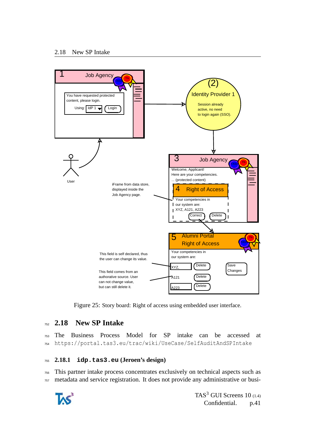

Figure 25: Story board: Right of access using embedded user interface.

## <span id="page-40-0"></span><sup>752</sup> **2.18 New SP Intake**

<sup>753</sup> The Business Process Model for SP intake can be accessed at <sup>754</sup> https://portal.tas3.eu/trac/wiki/UseCase/SelfAuditAndSPIntake

#### <span id="page-40-1"></span><sup>755</sup> **2.18.1 idp.tas3.eu (Jeroen's design)**

<sup>756</sup> This partner intake process concentrates exclusively on technical aspects such as <sup>757</sup> metadata and service registration. It does not provide any administrative or busi-

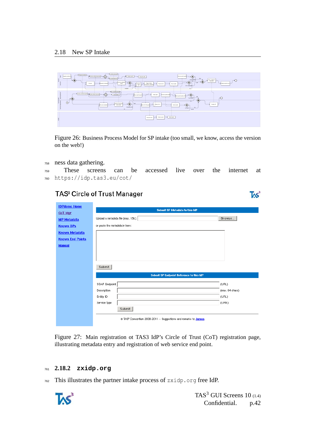

Figure 26: Business Process Model for SP intake (too small, we know, access the version on the web!)

#### <sup>758</sup> ness data gathering.

<sup>759</sup> These screens can be accessed live over the internet at <sup>760</sup> https://idp.tas3.eu/cot/

## TAS<sup>3</sup> Circle of Trust Manager

| <b>IDPdemo Home</b>     | Submit SP Metadata to this IdP                                                |                 |  |  |  |
|-------------------------|-------------------------------------------------------------------------------|-----------------|--|--|--|
| CoT Mgr                 |                                                                               |                 |  |  |  |
| <b>IdP Metadata</b>     | Upload a metadata file (max. 15k):                                            | Browse          |  |  |  |
| <b>Known SPs</b>        | or paste the metadata in here:                                                |                 |  |  |  |
| <b>Known Metadata</b>   |                                                                               |                 |  |  |  |
| <b>Known End Points</b> |                                                                               |                 |  |  |  |
| <b>Manual</b>           |                                                                               |                 |  |  |  |
|                         |                                                                               |                 |  |  |  |
|                         |                                                                               |                 |  |  |  |
|                         | Submit                                                                        |                 |  |  |  |
|                         |                                                                               |                 |  |  |  |
|                         | Submit SP Endpoint Reference to this IdP                                      |                 |  |  |  |
|                         | SOAP Endpoint                                                                 | (URL)           |  |  |  |
|                         | Description                                                                   | (max. 64 chars) |  |  |  |
|                         | Entity ID                                                                     | (URL)           |  |  |  |
|                         | Service Type                                                                  | (URN)           |  |  |  |
|                         | Submit                                                                        |                 |  |  |  |
|                         |                                                                               |                 |  |  |  |
|                         | @ TAS <sup>3</sup> Consortium 2008-2011 -- Suggestions and remarks to Jeroen. |                 |  |  |  |

Figure 27: Main registration ot TAS3 IdP's Circle of Trust (CoT) registration page, illustrating metadata entry and registration of web service end point.

#### <span id="page-41-0"></span><sup>761</sup> **2.18.2 zxidp.org**

 $762$  This illustrates the partner intake process of zxidp.org free IdP.



TAS $3$  GUI Screens 10 (1.4) Confidential. p.42

 $TS^3$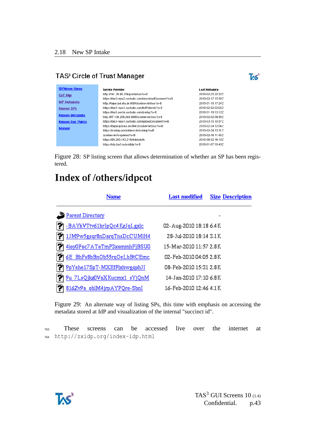# TAS<sup>3</sup> Circle of Trust Manager



| <b>IDPdemo Home</b>     | <b>Service Provider</b>                              | Last Metadata      |
|-------------------------|------------------------------------------------------|--------------------|
| CoT Mgr                 | http://141.26.66.254/portal/sso?o=B                  | 2010-02-25 22:22Z  |
|                         | https://tas3-repo2.custodix.com/downloadDocument?o=B | 2010-02-17 15:587  |
| <b>IdP</b> Metadata     | http://taipei.ipd.uka.de:8084/zxidservlet/sso?o=B    | 2010-01-15 17:24Z  |
| <b>Known SPs</b>        | https://tas3-repo1.custodix.com/listPatients?o=B     | 2010-02-02 03:05Z  |
|                         | https://tas3-portal.custodix.com/zxidsp?o=B          | 2010-01-19 13:12Z  |
| <b>Known Metadata</b>   | http://87.106.206.244:8080/zxidservlet/sso?o=B       | 2010-02-02 09:567  |
| <b>Known End Points</b> | https://tas3-repo1.custodix.com/uploadDocument?o=B   | 2010-03-15 10:57Z  |
|                         | https://taipei.ipd.uka.de:8443/zxidservlet/sso?o=B   | 2010-02-24 12:047  |
| <b>Manual</b>           | https://zxididp.uni-koblenz.de/zxididp?o=B           | 2010-02-24 12:31 Z |
|                         | /zxidservlet/wspdemo?o=B                             | 2010-02-16 11:46Z  |
|                         | https://89.200.142.218/shibboleth                    | 2010-08-02 16:18Z  |
|                         | https://idp.tas3.eu/zxididp?o=B                      | 2010-01-07 10:40Z  |

Figure 28: SP listing screen that allows determination of whether an SP has been registered.

# Index of /others/idpcot

| Name                               | <b>Last modified</b>   | <b>Size Description</b> |
|------------------------------------|------------------------|-------------------------|
| Parent Directory                   |                        |                         |
| -BAYkVTtv61brIpQc4KzJqLgxlc        | 02-Aug-2010 18:18 6.4K |                         |
| 1JM9w5gsqr8nDarqTnsDcCUMlH4        | 28-Jul-2010 18:14 3.1K |                         |
| l?ì<br>4ioy0Poc7ATaTmP3xommhFjBSU0 | 15-Mar-2010 11:57 2.8K |                         |
| n<br>6E BhFs8bBnOb55rqOeLbBtCEmc   | 02-Feb-2010 04:05 2.8K |                         |
| 9pYehe17SpT-MXEfPlxhwgqphJI        | 08-Feb-2010 15:31 2.8K |                         |
| 9u 7LsQjkz0VaXKucmx1 sYjQnM        | 14-Jan-2010 17:10 6.8K |                         |
| 816Zv9a oblM4jrpAYPQre-SbnI        | 16-Feb-2010 12:46 4.1K |                         |

Figure 29: An alternate way of listing SPs, this time with emphasis on accessing the metadata stored at IdP and visualization of the internal "succinct id".

<sup>763</sup> These screens can be accessed live over the internet at <sup>764</sup> http://zxidp.org/index-idp.html

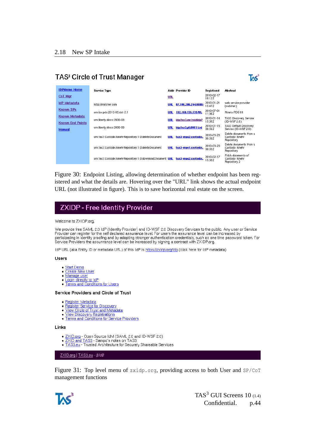## TAS<sup>3</sup> Circle of Trust Manager



| <b>IDPdemo Home</b>                       | Service Type                                               |            | <b>Addr Provider ID</b> | Registered           | Abstract                                                |
|-------------------------------------------|------------------------------------------------------------|------------|-------------------------|----------------------|---------------------------------------------------------|
| CoT Mgr                                   |                                                            | <b>URL</b> |                         | 2010-02-17<br>18:12Z |                                                         |
| <b>IdP</b> Metadata                       | http://matcher.com                                         | <b>URL</b> | 87.106.206.244:8080/    | 2010-01-21<br>15:47Z | web service provider<br>(matcher)                       |
| Known SPs                                 | urn:ios:pds:2010-05:dst-2.1                                | <b>URL</b> | 192.168.135.139/ttl.    | 2010-07-01<br>11:36Z | Risaris PDS ttt                                         |
| Known Metadata<br><b>Known End Points</b> | urn:libertv:disco:2006-08                                  | <b>URL</b> | idp.tas3.eu/zxididp?    | 2010-01-14<br>15:58Z | TAS3 Discovery Service<br>(ID-WSF 2.0)                  |
| <b>Manual</b>                             | urn:libertv:disco:2006-08                                  | <b>URL</b> | idp.tas3.pt:8081/zxi    | 2010-01-15<br>08:59Z | TAS3 Default Discovery<br>Service (ID-WSF 2.0)          |
|                                           | urn:tas3:Custodix:kmehrRepository:1.0:deleteDocument       | <b>URL</b> | tas3-repo2.custodix.    | 2010-03-23<br>08:59Z | Delete documents from a<br>Custodix Kmehr<br>Repository |
|                                           | urn:tas3:Custodix:kmehrRepository:1.0:deleteDocument       | URL        | tas3-repo1.custodix.    | 2010-03-23<br>08:59Z | Delete documents from a<br>Custodix Kmehr<br>Repository |
|                                           | urn:tas3:Custodix:kmehrRepository:1.0:downloadDocument_URL |            | tas3-repo2.custodix.    | 2010-02-17<br>15:58Z | Fetch documents of<br>Custodix Kmehr<br>Repository 2    |

Figure 30: Endpoint Listing, allowing determination of whether endpoint has been registered and what the details are. Hovering over the "URL" link shows the actual endpoint URL (not illustrated in figure). This is to save horizontal real estate on the screen.

## **ZXIDP - Free Identity Provider**

#### Welcome to ZXIDP.org,

We provide free SAML 2.0 IdP (Identity Provider) and ID-WSF 2.0 Discovery Services to the public. Any user or Service Provider can register for the self declared assurance level. For users the assurance level can be increased by Participating in identity proofing and by adopting stronger authentication credentials, such as one time password token. For<br>Service Providers the assunrance level can be increased by signing a contract with ZXIDP.org.

IdP URL (aka Entity ID or metadata URL) of this IdP is https://zxidp.org/idp (click here for IdP metadata)

#### **Users**

- · Start Demo
- Create New User
- $\bullet$  Manage user
- Login directly to IdP<br>• Terms and Conditions for Users

#### Service Providers and Circle of Trust

- · Register Metadata
- Register Service for Discovery
- 
- View Circle of Trust and Metadata<br>• View Discovery Registrations<br>• Terms and Conditions for Service Providers

#### Links

- ZXID.org Open Source IdM (SAML 2.0 and ID-WSF 2.0)
- 
- EXID and TAS3 Sampo's notes on TAS3<br>TAS3. Take a TAS3 Sampo's notes on TAS3

ZXID.org | TAS3.eu - \$/d\$

Figure 31: Top level menu of zxidp.org, providing access to both User and SP/CoT management functions

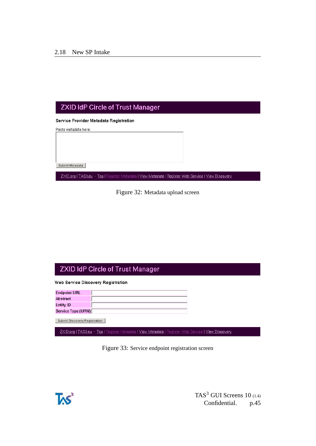## **ZXID IdP Circle of Trust Manager**

Service Provider Metadata Registration

Paste metadata here:

Submit Metadata

ZXID.org | TAS3.eu -- Top | Register Metadata | View Metadata | Register Web Service | View Discovery

Figure 32: Metadata upload screen

## **ZXID IdP Circle of Trust Manager**

Web Service Discovery Registration

| <b>Endpoint URL</b> |  |
|---------------------|--|
| Abstract            |  |
| Entity ID           |  |
| Service Type (URN)  |  |

Submit Discovery Registration

ZXID.org | TAS3.eu -- Top | Register Metadata | View Metadata | Register Web Service | View Discovery



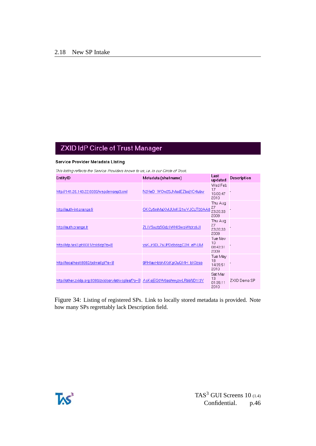# **ZXID IdP Circle of Trust Manager**

#### Service Provider Metadata Listing

This listing reflects the Service Providers known to us, i.e. in our Circle of Trust.

| EntityID                                                                        | Metadata (sha1name)         | Last<br>updated                   | <b>Description</b> |
|---------------------------------------------------------------------------------|-----------------------------|-----------------------------------|--------------------|
| http://141.26.143.22:8080/wspdemosp3.xml                                        | N2HeD WOw25JModEZboj1C4lubw | Wed Feb<br>17<br>16:00:47<br>2010 |                    |
| http://auth-int.orange.fr                                                       | OKCy5mMaXMJUnKQ1wVJCcT00AA8 | Thu Aug<br>27<br>23:20:33<br>2009 |                    |
| http://auth.orange.fr                                                           | ZLIYSwzbSQdzIWHISwoWtdrx6JI | Thu Aug<br>27<br>23:20:33<br>2009 |                    |
| http://idp.tas3.pt:8081/zxididp?o=B                                             | xsKJr3DL7sUPDdbdggC2H_eP-UM | Tue Nov<br>10<br>08:43:31<br>2009 |                    |
| http://localhost:8082/pdmail.pl?o=B                                             | 9RHIaxHzbMXxKpOuQI4H bIOzso | Tue May<br>18<br>14:35:51<br>2010 |                    |
| http://other.zxidp.org:8080/zxidservlet/wspleaf?o=B_AsKojEQ0W6eohmyzwLRbbND113Y |                             | Sat Mar<br>13<br>01:35:11<br>2010 | ZXID Demo SP       |

Figure 34: Listing of registered SPs. Link to locally stored metadata is provided. Note how many SPs regrettably lack Description field.

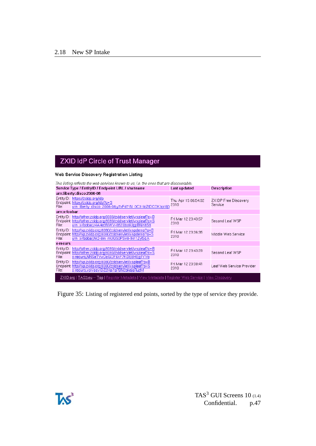# **ZXID IdP Circle of Trust Manager**

#### Web Service Discovery Registration Listing

| This listing reflects the web services known to us, i.e. the ones that are discoverable.              |                                                                                                                                                                            |                             |                                 |  |  |  |  |  |
|-------------------------------------------------------------------------------------------------------|----------------------------------------------------------------------------------------------------------------------------------------------------------------------------|-----------------------------|---------------------------------|--|--|--|--|--|
|                                                                                                       | Service Type / EntitylD / Endpoint URL / sha1name<br><b>Description</b><br>Last updated                                                                                    |                             |                                 |  |  |  |  |  |
|                                                                                                       | urn:liberty:disco:2006-08                                                                                                                                                  |                             |                                 |  |  |  |  |  |
| File:                                                                                                 | EntityID: https://zxidp.org/idp<br>Endpoint: https://zxidp.org/idp?o=S<br>urn_liberty_disco_2006-08,y7xFd7IN_0C31ioZtDCOKbp1lj0                                            | Thu Apr 15 06:54:02<br>2010 | ZXIDP Free Discovery<br>Service |  |  |  |  |  |
| urn:x-foobar                                                                                          |                                                                                                                                                                            |                             |                                 |  |  |  |  |  |
| File:                                                                                                 | EntityID: http://other.zxidp.org:8080/zxidservlet/wspleaf?o=B<br>Endpoint: http://other.zxidp.org:8080/zxidservlet/wspleaf?o=S<br>urn x-foobar,r4A4e3NWV-652ljbx6UgpBNX8S8 | Fri Mar 12 23:43:57<br>2010 | Second Leaf WSP                 |  |  |  |  |  |
| File:                                                                                                 | EntityID: http://sp.zxidp.org:8080/zxidservlet/wspdemo?o=B<br>Endpoint: http://sp.zxidp.org:8080/zxidservlet/wspdemo?o=S<br>urn x-foobar,hk2-8m mUQS0PSv8-Ikn1ZylScA       | Fri Mar 12 23:36:35<br>2010 | Middle Web Service              |  |  |  |  |  |
| x-recurs                                                                                              |                                                                                                                                                                            |                             |                                 |  |  |  |  |  |
| File:                                                                                                 | EntityID: http://other.zxidp.org:8080/zxidservlet/wspleaf?o=B<br>Endpoint: http://other.zxidp.org:8080/zxidservlet/wspleaf?o=S<br>x-recurs, NNSeTYwDoGOF6kF7KDE8HEq1YVo    | Fri Mar 12 23:43:29<br>2010 | Second Leaf WSP                 |  |  |  |  |  |
| File:                                                                                                 | EntityID: http://sp.zxidp.org:8080/zxidservlet/wspleaf?o=B<br>Endpoint: http://sp.zxidp.org:8080/zxidservlet/wspleaf?o=S<br>x-recurs.vpVccyIDZ2Hp7qPBN2okajqRuzM           | Fri Mar 12 23:38:41<br>2010 | Leaf Web Service Provider       |  |  |  |  |  |
| ZXID.org   TAS3.eu -- Top   Register Metadata   View Metadata   Register Web Service   View Discovery |                                                                                                                                                                            |                             |                                 |  |  |  |  |  |

Figure 35: Listing of registered end points, sorted by the type of service they provide.



TAS<sup>3</sup> GUI Screens  $10$  (1.4)<br>Confidential. p.47 Confidential.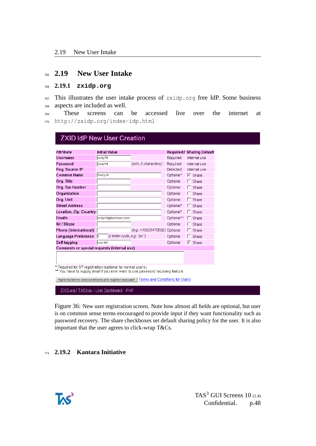#### <span id="page-47-0"></span><sup>765</sup> **2.19 New User Intake**

#### <span id="page-47-1"></span><sup>766</sup> **2.19.1 zxidp.org**

<sup>767</sup> This illustrates the user intake process of zxidp.org free IdP. Some business <sup>768</sup> aspects are included as well.

<sup>769</sup> These screens can be accessed live over the internet at <sup>770</sup> http://zxidp.org/index-idp.html

| <b>Attribute</b>                                            | <b>Initial Value</b>             |                              |            | <b>Required? Sharing Default</b>  |
|-------------------------------------------------------------|----------------------------------|------------------------------|------------|-----------------------------------|
| <b>Username</b>                                             | testy78                          |                              | Required   | Internal use                      |
| Password                                                    | testy78                          | (min. 5 characters)          | Required   | Internal use                      |
| Reg. Source IP                                              |                                  |                              | Detected   | Internal use                      |
| <b>Common Name</b>                                          | Testy78                          |                              | Optional*  | $\overline{V}$ Share              |
| Org. Title                                                  |                                  |                              | Optional   | $\Gamma$ Share                    |
| Org. Tax Number                                             |                                  |                              | Optional   | $\Gamma$ Share                    |
| Organization                                                |                                  |                              | Optional   | $\Gamma$ Share                    |
| Org. Unit                                                   |                                  |                              | Optional   | $\Gamma$ Share                    |
| <b>Street Address</b>                                       |                                  |                              | Optional*  | $\Gamma$ Share                    |
| Location, Zip, Country                                      |                                  |                              | Optional*  | $\Gamma$ Share                    |
| <b>Emails</b>                                               | testy78@hotmail.com              |                              | Optional** | $\Gamma$ Share                    |
| IM / Skype                                                  |                                  |                              | Optional   | $\Gamma$ Share                    |
| Phone (international)                                       |                                  | (e.g. +15035470202) Optional |            | $\Gamma$ Share                    |
| Language Preference                                         | (2 letter code, e.g. "en")<br>fi |                              | Optional   | $\Box$ Share                      |
| Self tagging                                                | koerkki                          |                              | Optional   | $\overline{\triangleright}$ Share |
| Comments or special requests (internal use)                 |                                  |                              |            |                                   |
|                                                             |                                  |                              |            |                                   |
|                                                             |                                  |                              |            |                                   |
| * Required for SP registration (optional for normal users). |                                  |                              |            |                                   |

ZXID.org | TAS3.eu | User Dashboard - \$/d\$

Figure 36: New user registration screen. Note how almost all fields are optional, but user is on common sense terms encouraged to provide input if they want functionality such as password recovery. The share checkboxes set default sharing policy for the user. It is also important that the user agrees to click-wrap T&Cs.

#### <span id="page-47-2"></span><sup>771</sup> **2.19.2 Kantara Initiative**

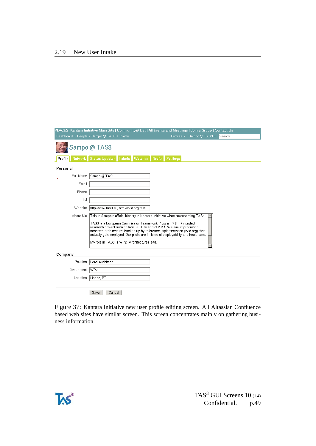|          |            | PLACES: Kantara Initiative Main Site   Community@ List   All Events and Meetings   Join a Group   Contact Us                                                                                                                                                                                                                                                                                                                                    |                          |               |                 |                         |        |  |
|----------|------------|-------------------------------------------------------------------------------------------------------------------------------------------------------------------------------------------------------------------------------------------------------------------------------------------------------------------------------------------------------------------------------------------------------------------------------------------------|--------------------------|---------------|-----------------|-------------------------|--------|--|
|          |            | Dashboard > People > Sampo @ TAS3 > Profile                                                                                                                                                                                                                                                                                                                                                                                                     |                          |               |                 | Browse ▼ Sampo @ TAS3 ▼ | Search |  |
|          |            | Sampo @ TAS3                                                                                                                                                                                                                                                                                                                                                                                                                                    |                          |               |                 |                         |        |  |
| Profile  | Network    | <b>Status Updates</b>                                                                                                                                                                                                                                                                                                                                                                                                                           | Labels<br><b>Watches</b> | <b>Drafts</b> | <b>Settings</b> |                         |        |  |
| Personal |            |                                                                                                                                                                                                                                                                                                                                                                                                                                                 |                          |               |                 |                         |        |  |
|          | Full Name  | Sampo @ TAS3                                                                                                                                                                                                                                                                                                                                                                                                                                    |                          |               |                 |                         |        |  |
|          | Email      |                                                                                                                                                                                                                                                                                                                                                                                                                                                 |                          |               |                 |                         |        |  |
|          | Phone      |                                                                                                                                                                                                                                                                                                                                                                                                                                                 |                          |               |                 |                         |        |  |
|          | IМ         |                                                                                                                                                                                                                                                                                                                                                                                                                                                 |                          |               |                 |                         |        |  |
|          | Website    | http://www.tas3.eu, http://zxid.org/tas3                                                                                                                                                                                                                                                                                                                                                                                                        |                          |               |                 |                         |        |  |
|          | About Me   | This is Sampo's official identity in Kantara Initiative when representing TAS3.<br>TAS3 is a European Commission Framework Program 7 (FP7) funded<br>research project running from 2008 to end of 2011. We aim at producing<br>concrete architecture, backed up by reference implementation (zxid.org) that<br>actually gets deployed. Our pilots are in fields of employability and healthcare.<br>My role in TAS3 is WP2 (Architecture) lead. |                          |               |                 |                         |        |  |
| Company  |            |                                                                                                                                                                                                                                                                                                                                                                                                                                                 |                          |               |                 |                         |        |  |
|          | Position   | Lead Architect                                                                                                                                                                                                                                                                                                                                                                                                                                  |                          |               |                 |                         |        |  |
|          | Department | WP2                                                                                                                                                                                                                                                                                                                                                                                                                                             |                          |               |                 |                         |        |  |
|          | Location   | Lisboa, PT                                                                                                                                                                                                                                                                                                                                                                                                                                      |                          |               |                 |                         |        |  |
|          |            | Save<br>Cancel                                                                                                                                                                                                                                                                                                                                                                                                                                  |                          |               |                 |                         |        |  |

Figure 37: Kantara Initiative new user profile editing screen. All Altassian Confluence based web sites have similar screen. This screen concentrates mainly on gathering business information.



TAS<sup>3</sup> GUI Screens  $10$  (1.4)<br>Confidential. p.49 Confidential.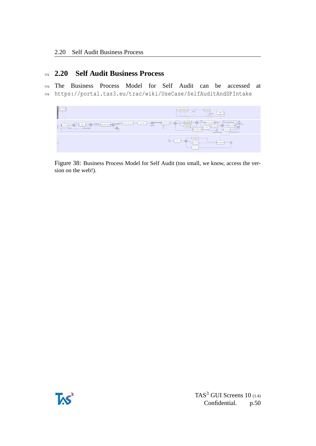### <span id="page-49-0"></span><sup>772</sup> **2.20 Self Audit Business Process**

<sup>773</sup> The Business Process Model for Self Audit can be accessed at <sup>774</sup> https://portal.tas3.eu/trac/wiki/UseCase/SelfAuditAndSPIntake



Figure 38: Business Process Model for Self Audit (too small, we know, access the version on the web!).

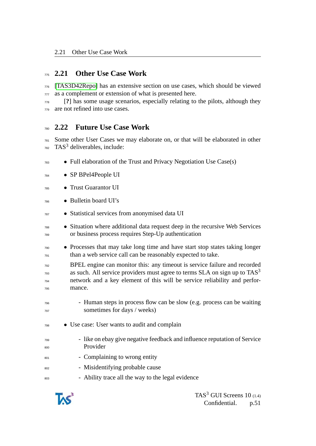## <span id="page-50-0"></span>**2.21 Other Use Case Work**

 [\[TAS3D42Repo\]](#page-51-2) has an extensive section on use cases, which should be viewed 777 as a complement or extension of what is presented here.

 [**?**] has some usage scenarios, especially relating to the pilots, although they are not refined into use cases.

### <span id="page-50-1"></span>**2.22 Future Use Case Work**

 Some other User Cases we may elaborate on, or that will be elaborated in other TAS<sup>3</sup> deliverables, include:

- $\bullet$  Full elaboration of the Trust and Privacy Negotiation Use Case(s)
- SP BPel4People UI
- Trust Guarantor UI
- Bulletin board UI's
- Statistical services from anonymised data UI
- Situation where additional data request deep in the recursive Web Services or business process requires Step-Up authentication
- Processes that may take long time and have start stop states taking longer than a web service call can be reasonably expected to take.

 BPEL engine can monitor this: any timeout is service failure and recorded as such. All service providers must agree to terms  $SLA$  on sign up to  $TAS<sup>3</sup>$  network and a key element of this will be service reliability and perfor-mance.

- Human steps in process flow can be slow (e.g. process can be waiting sometimes for days / weeks)
- Use case: User wants to audit and complain
- like on ebay give negative feedback and influence reputation of Service Provider
- Complaining to wrong entity
- 802 Misidentifying probable cause
- 803 Ability trace all the way to the legal evidence

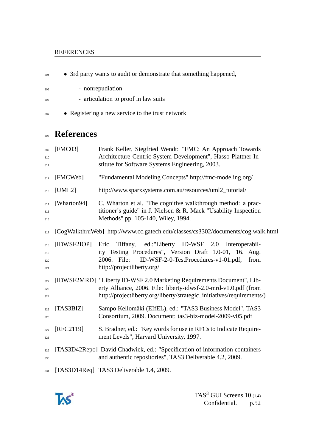#### REFERENCES

804 • 3rd party wants to audit or demonstrate that something happened,

- nonrepudiation
- 806 articulation to proof in law suits
- 807 Registering a new service to the trust network

# **References**

<span id="page-51-1"></span>

| 809<br>810<br>811        | [FMC03]     | Frank Keller, Siegfried Wendt: "FMC: An Approach Towards<br>Architecture-Centric System Development", Hasso Plattner In-<br>stitute for Software Systems Engineering, 2003.                                         |
|--------------------------|-------------|---------------------------------------------------------------------------------------------------------------------------------------------------------------------------------------------------------------------|
| 812                      | [FMCWeb]    | "Fundamental Modeling Concepts" http://fmc-modeling.org/                                                                                                                                                            |
| 813                      | [UML2]      | http://www.sparxsystems.com.au/resources/uml2_tutorial/                                                                                                                                                             |
| 814<br>815<br>816        | [Wharton94] | C. Wharton et al. "The cognitive walkthrough method: a prac-<br>titioner's guide" in J. Nielsen & R. Mack "Usability Inspection<br>Methods" pp. 105-140, Wiley, 1994.                                               |
| 817                      |             | [CogWalkthruWeb] http://www.cc.gatech.edu/classes/cs3302/documents/cog.walk.html                                                                                                                                    |
| 818<br>819<br>820<br>821 | [IDWSF2IOP] | Tiffany, ed.:"Liberty ID-WSF 2.0 Interoperabil-<br>Eric<br>ity Testing Procedures", Version Draft 1.0-01, 16. Aug.<br>2006. File:<br>ID-WSF-2-0-TestProcedures-v1-01.pdf,<br>from<br>http://projectliberty.org/     |
| 822<br>823<br>824        |             | [IDWSF2MRD] "Liberty ID-WSF 2.0 Marketing Requirements Document", Lib-<br>erty Alliance, 2006. File: liberty-idwsf-2.0-mrd-v1.0.pdf (from<br>http://projectliberty.org/liberty/strategic_initiatives/requirements/) |
| 825<br>826               | [TAS3BIZ]   | Sampo Kellomäki (EIfEL), ed.: "TAS3 Business Model", TAS3<br>Consortium, 2009. Document: tas3-biz-model-2009-v05.pdf                                                                                                |
| 827<br>828               | [RFC2119]   | S. Bradner, ed.: "Key words for use in RFCs to Indicate Require-<br>ment Levels", Harvard University, 1997.                                                                                                         |
| 829<br>830               |             | [TAS3D42Repo] David Chadwick, ed.: "Specification of information containers<br>and authentic repositories", TAS3 Deliverable 4.2, 2009.                                                                             |
| 831                      |             | [TAS3D14Req] TAS3 Deliverable 1.4, 2009.                                                                                                                                                                            |

<span id="page-51-2"></span><span id="page-51-0"></span>